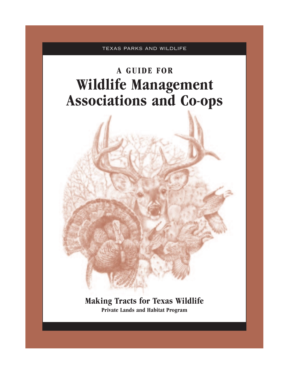TEXAS PARKS AND WILDLIFE

# **A GUIDE FOR Wildlife Management Associations and Co-ops**



**Making Tracts for Texas Wildlife Private Lands and Habitat Program**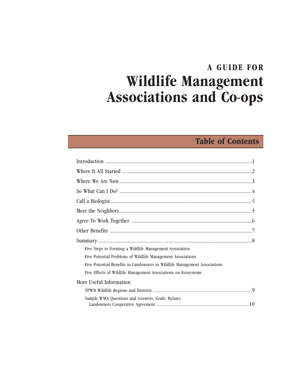## **A GUIDE FOR Wildlife Management Associations and Co-ops**

## **Table of Contents**

| Five Steps to Forming a Wildlife Management Association                   |  |
|---------------------------------------------------------------------------|--|
| Five Potential Problems of Wildlife Management Associations               |  |
| Five Potential Benefits to Landowners in Wildlife Management Associations |  |
| Five Effects of Wildlife Management Associations on Ecosystems            |  |
| More Useful Information                                                   |  |
|                                                                           |  |
| Sample WMA Questions and Answers, Goals, Bylaws,                          |  |
|                                                                           |  |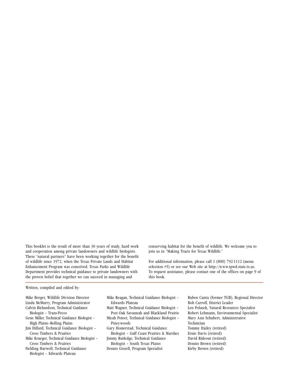This booklet is the result of more than 30 years of study, hard work and cooperation among private landowners and wildlife biologists. These "natural partners" have been working together for the benefit of wildlife since 1972, when the Texas Private Lands and Habitat Enhancement Program was conceived. Texas Parks and Wildlife Department provides technical guidance to private landowners with the proven belief that together we can succeed in managing and

conserving habitat for the benefit of wildlife. We welcome you to join us in "Making Tracts for Texas Wildlife."

For additional information, please call 1 (800) 792-1112 (menu selection #5) or see our Web site at http://www.tpwd.state.tx.us. To request assistance, please contact one of the offices on page 9 of this book.

Written, compiled and edited by*:*

Mike Berger, Wildlife Division Director Linda McMurry, Program Administrator Calvin Richardson, Technical Guidance

- Biologist Trans-Pecos
- Gene Miller, Technical Guidance Biologist High Plains–Rolling Plains
- Jim Dillard, Technical Guidance Biologist Cross Timbers & Prairies
- Mike Krueger, Technical Guidance Biologist Cross Timbers & Prairies
- Fielding Harwell, Technical Guidance Biologist – Edwards Plateau
- Mike Reagan, Technical Guidance Biologist Edwards Plateau
- Matt Wagner, Technical Guidance Biologist Post Oak Savannah and Blackland Prairie
- Micah Poteet, Technical Guidance Biologist Pineywoods
- Gary Homerstad, Technical Guidance Biologist – Gulf Coast Prairies & Marshes
- Jimmy Rutledge, Technical Guidance Biologist – South Texas Plains
- Dennis Gissell, Program Specialist
- Ruben Cantu (former TGB), Regional Director Bob Carroll, District Leader Len Polasek, Natural Resources Specialist Robert Lehmann, Environmental Specialist Mary Ann Schubert, Administrative Technician Tommy Hailey (retired) Ernie Davis (retired) David Rideout (retired) Dennis Brown (retired) Kirby Brown (retired)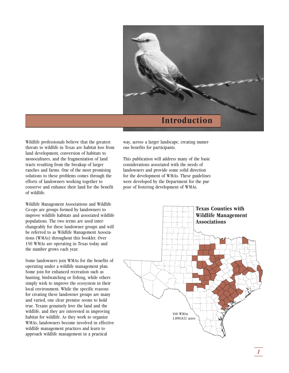

Wildlife professionals believe that the greatest threats to wildlife in Texas are habitat loss from land development, conversion of habitats to monocultures, and the fragmentation of land tracts resulting from the breakup of larger ranches and farms. One of the most promising solutions to these problems comes through the efforts of landowners working together to conserve and enhance their land for the benefit of wildlife.

Wildlife Management Associations and Wildlife Co-ops are groups formed by landowners to improve wildlife habitats and associated wildlife populations. The two terms are used interchangeably for these landowner groups and will be referred to as Wildlife Management Associations (WMAs) throughout this booklet. Over 150 WMAs are operating in Texas today and the number grows each year.

Some landowners join WMAs for the benefits of operating under a wildlife management plan. Some join for enhanced recreation such as hunting, birdwatching or fishing, while others simply wish to improve the ecosystem in their local environment. While the specific reasons for creating these landowner groups are many and varied, one clear premise seems to hold true. Texans genuinely love the land and the wildlife, and they are interested in improving habitat for wildlife. As they work to organize WMAs, landowners become involved in effective wildlife management practices and learn to approach wildlife management in a practical

way, across a larger landscape, creating numerous benefits for participants.

This publication will address many of the basic considerations associated with the needs of landowners and provide some solid direction for the development of WMAs. These guidelines were developed by the Department for the purpose of fostering development of WMAs.

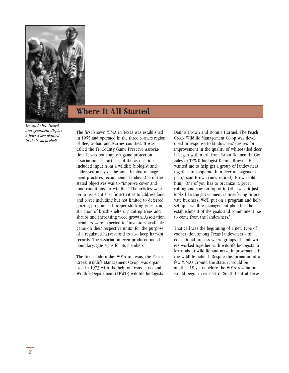

## **Where It All Started**

*Mr. and Mrs. Heard and grandson display a bois d'arc planted in their shelterbelt.*

The first known WMA in Texas was established in 1955 and operated in the three corners region of Bee, Goliad and Karnes counties. It was called the Tri-County Game Preserve Association. It was not simply a game protection association. The articles of the association included input from a wildlife biologist and addressed many of the same habitat management practices recommended today. One of the stated objectives was to "improve cover and food conditions for wildlife." The articles went on to list eight specific activities to address food and cover including but not limited to deferred grazing programs at proper stocking rates, construction of brush shelters, planting trees and shrubs and increasing weed growth. Association members were expected to "inventory available game on their respective units" for the purpose of a regulated harvest and to also keep harvest records. The association even produced metal boundary/gate signs for its members.

The first modern day WMA in Texas, the Peach Creek Wildlife Management Co-op, was organized in 1973 with the help of Texas Parks and Wildlife Department (TPWD) wildlife biologists

Dennis Brown and Donnie Harmel. The Peach Creek Wildlife Management Co-op was developed in response to landowners' desires for improvement in the quality of white-tailed deer. It began with a call from Brian Denman in Gonzales to TPWD biologist Dennis Brown. "He wanted me to help get a group of landowners together to cooperate in a deer management plan," said Brown (now retired). Brown told him, "One of you has to organize it, get it rolling and stay on top of it. Otherwise it just looks like the government is interfering in private business. We'll put on a program and help set up a wildlife management plan, but the establishment of the goals and commitment has to come from the landowners."

That call was the beginning of a new type of cooperation among Texas landowners – an educational process where groups of landowners worked together with wildlife biologists to learn about wildlife and make improvements in the wildlife habitat. Despite the formation of a few WMAs around the state, it would be another 18 years before the WMA revolution would begin in earnest in South Central Texas.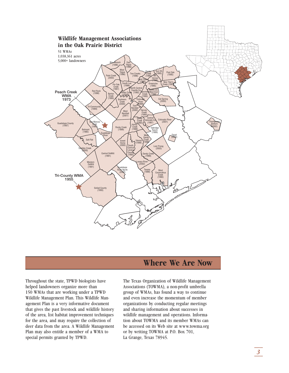

### **Where We Are Now**

Throughout the state, TPWD biologists have helped landowners organize more than 150 WMAs that are working under a TPWD Wildlife Management Plan. This Wildlife Management Plan is a very informative document that gives the past livestock and wildlife history of the area, list habitat improvement techniques for the area, and may require the collection of deer data from the area. A Wildlife Management Plan may also entitle a member of a WMA to special permits granted by TPWD.

The Texas Organization of Wildlife Management Associations (TOWMA), a non-profit umbrella group of WMAs, has found a way to continue and even increase the momentum of member organizations by conducting regular meetings and sharing information about successes in wildlife management and operations. Information about TOWMA and its member WMAs can be accessed on its Web site at www.towma.org or by writing TOWMA at P.O. Box 701, La Grange, Texas 78945.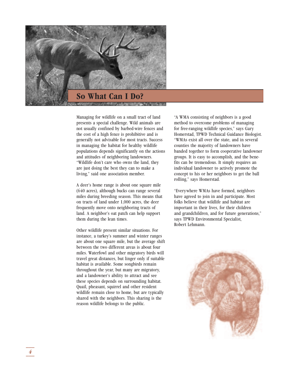

Managing for wildlife on a small tract of land presents a special challenge. Wild animals are not usually confined by barbed-wire fences and the cost of a high fence is prohibitive and is generally not advisable for most tracts. Success in managing the habitat for healthy wildlife populations depends significantly on the actions and attitudes of neighboring landowners. "Wildlife don't care who owns the land, they are just doing the best they can to make a living," said one association member.

A deer's home range is about one square mile (640 acres), although bucks can range several miles during breeding season. This means that on tracts of land under 1,000 acres, the deer frequently move onto neighboring tracts of land. A neighbor's oat patch can help support them during the lean times.

Other wildlife present similar situations. For instance, a turkey's summer and winter ranges are about one square mile, but the average shift between the two different areas is about four miles. Waterfowl and other migratory birds will travel great distances, but linger only if suitable habitat is available. Some songbirds remain throughout the year, but many are migratory, and a landowner's ability to attract and see these species depends on surrounding habitat. Quail, pheasant, squirrel and other resident wildlife remain close to home, but are typically shared with the neighbors. This sharing is the reason wildlife belongs to the public.

"A WMA consisting of neighbors is a good method to overcome problems of managing for free-ranging wildlife species," says Gary Homerstad, TPWD Technical Guidance Biologist. "WMAs exist all over the state, and in several counties the majority of landowners have banded together to form cooperative landowner groups. It is easy to accomplish, and the benefits can be tremendous. It simply requires an individual landowner to actively promote the concept to his or her neighbors to get the ball rolling," says Homerstad.

"Everywhere WMAs have formed, neighbors have agreed to join in and participate. Most folks believe that wildlife and habitat are important in their lives, for their children and grandchildren, and for future generations," says TPWD Environmental Specialist, Robert Lehmann.

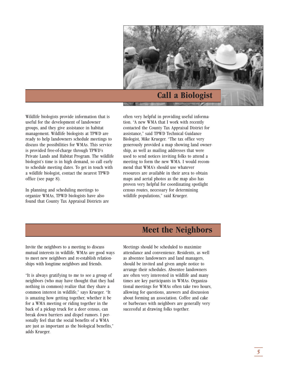

Wildlife biologists provide information that is useful for the development of landowner groups, and they give assistance in habitat management. Wildlife biologists at TPWD are ready to help landowners schedule meetings to discuss the possibilities for WMAs. This service is provided free-of-charge through TPWD's Private Lands and Habitat Program. The wildlife biologist's time is in high demand, so call early to schedule meeting dates. To get in touch with a wildlife biologist, contact the nearest TPWD office (see page 8).

In planning and scheduling meetings to organize WMAs, TPWD biologists have also found that County Tax Appraisal Districts are

often very helpful in providing useful information. "A new WMA that I work with recently contacted the County Tax Appraisal District for assistance," said TPWD Technical Guidance Biologist, Mike Krueger. "The tax office very generously provided a map showing land ownership, as well as mailing addresses that were used to send notices inviting folks to attend a meeting to form the new WMA. I would recommend that WMA's should use whatever resources are available in their area to obtain maps and aerial photos as the map also has proven very helpful for coordinating spotlight census routes, necessary for determining wildlife populations," said Krueger.

### **Meet the Neighbors**

Invite the neighbors to a meeting to discuss mutual interests in wildlife. WMAs are good ways to meet new neighbors and re-establish relationships with longtime neighbors and friends.

"It is always gratifying to me to see a group of neighbors (who may have thought that they had nothing in common) realize that they share a common interest in wildlife," says Krueger. "It is amazing how getting together, whether it be for a WMA meeting or riding together in the back of a pickup truck for a deer census, can break down barriers and dispel rumors. I personally feel that the social benefits of a WMA are just as important as the biological benefits," adds Krueger.

Meetings should be scheduled to maximize attendance and convenience. Residents, as well as absentee landowners and land managers, should be invited and given ample notice to arrange their schedules. Absentee landowners are often very interested in wildlife and many times are key participants in WMAs. Organizational meetings for WMAs often take two hours, allowing for questions, answers and discussion about forming an association. Coffee and cake or barbecues with neighbors are generally very successful at drawing folks together.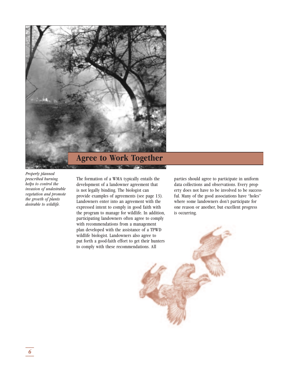

*Properly planned prescribed burning helps to control the invasion of undesirable vegetation and promote the growth of plants desirable to wildlife.*

The formation of a WMA typically entails the development of a landowner agreement that is not legally binding. The biologist can provide examples of agreements (see page 13). Landowners enter into an agreement with the expressed intent to comply in good faith with the program to manage for wildlife. In addition, participating landowners often agree to comply with recommendations from a management plan developed with the assistance of a TPWD wildlife biologist. Landowners also agree to put forth a good-faith effort to get their hunters to comply with these recommendations. All

parties should agree to participate in uniform data collections and observations. Every property does not have to be involved to be successful. Many of the good associations have "holes" where some landowners don't participate for one reason or another, but excellent progress is occurring.

*\_\_\_ 6\_\_\_*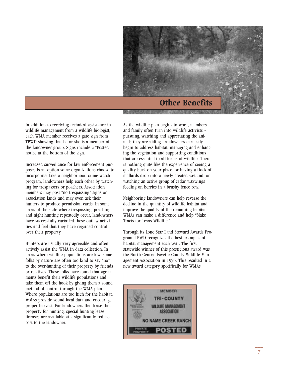

In addition to receiving technical assistance in wildlife management from a wildlife biologist, each WMA member receives a gate sign from TPWD showing that he or she is a member of the landowner group. Signs include a "Posted" notice at the bottom of the sign.

Increased surveillance for law enforcement purposes is an option some organizations choose to incorporate. Like a neighborhood crime watch program, landowners help each other by watching for trespassers or poachers. Association members may post "no trespassing" signs on association lands and may even ask their hunters to produce permission cards. In some areas of the state where trespassing, poaching and night hunting repeatedly occur, landowners have successfully curtailed these outlaw activities and feel that they have regained control over their property.

Hunters are usually very agreeable and often actively assist the WMA in data collection. In areas where wildlife populations are low, some folks by nature are often too kind to say "no" to the over-hunting of their property by friends or relatives. These folks have found that agreements benefit their wildlife populations and take them off the hook by giving them a sound method of control through the WMA plan. Where populations are too high for the habitat, WMAs provide sound local data and encourage proper harvest. For landowners that lease their property for hunting, special hunting lease licenses are available at a significantly reduced cost to the landowner.

As the wildlife plan begins to work, members and family often turn into wildlife activists – pursuing, watching and appreciating the animals they are aiding. Landowners earnestly begin to address habitat, managing and enhancing the vegetation and supporting conditions that are essential to all forms of wildlife. There is nothing quite like the experience of seeing a quality buck on your place, or having a flock of mallards drop into a newly created wetland, or watching an active group of cedar waxwings feeding on berries in a brushy fence row.

Neighboring landowners can help reverse the decline in the quantity of wildlife habitat and improve the quality of the remaining habitat. WMAs can make a difference and help "Make Tracts for Texas Wildlife."

Through its Lone Star Land Steward Awards Program, TPWD recognizes the best examples of habitat management each year. The first statewide winner of this prestigious award was the North Central Fayette County Wildlife Management Association in 1995. This resulted in a new award category specifically for WMAs.

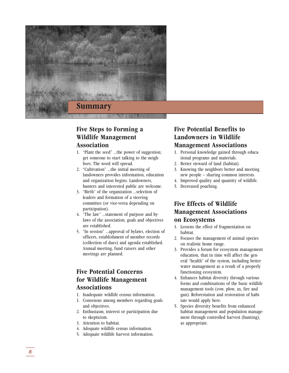

#### **Five Steps to Forming a Wildlife Management Association**

- 1. "Plant the seed" …the power of suggestion; get someone to start talking to the neighbors. The word will spread.
- 2. "Cultivation" …the initial meeting of landowners provides information, education and organization begins. Landowners, hunters and interested public are welcome.
- 3. "Birth" of the organization …selection of leaders and formation of a steering committee (or vice-versa depending on participation).
- 4. "The law" …statement of purpose and bylaws of the association; goals and objectives are established.
- 5. "In session" …approval of bylaws, election of officers, establishment of member records (collection of dues) and agenda established. Annual meeting, fund raisers and other meetings are planned.

#### **Five Potential Concerns for Wildlife Management Associations**

- 1. Inadequate wildlife census information.
- 1. Consensus among members regarding goals and objectives.
- 2. Enthusiasm, interest or participation due to skepticism.
- 3. Attention to habitat.
- 4. Adequate wildlife census information.
- 5. Adequate wildlife harvest information.

#### **Five Potential Benefits to Landowners in Wildlife Management Associations**

- 1. Personal knowledge gained through educational programs and materials.
- 2. Better steward of land (habitat).
- 3. Knowing the neighbors better and meeting new people – sharing common interests.
- 4. Improved quality and quantity of wildlife.
- 5. Decreased poaching.

#### **Five Effects of Wildlife Management Associations on Ecosystems**

- 1. Lessens the effect of fragmentation on habitat.
- 2. Focuses the management of animal species on realistic home range.
- 3. Provides a forum for ecosystem management education, that in time will affect the general "health" of the system, including better water management as a result of a properly functioning ecosystem.
- 4. Enhances habitat diversity through various forms and combinations of the basic wildlife management tools (cow, plow, ax, fire and gun). Reforestation and restoration of habitats would apply here.
- 5. Species diversity benefits from enhanced habitat management and population management through controlled harvest (hunting), as appropriate.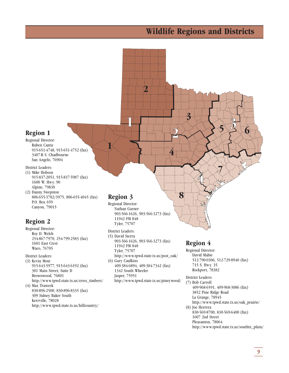## **Wildlife Regions and Districts**



- 830-569-8700, 830-569-6400 (fax) 1607 2nd Street Pleasanton, 78064
- http://www.tpwd.state.tx.us/southtx\_plain/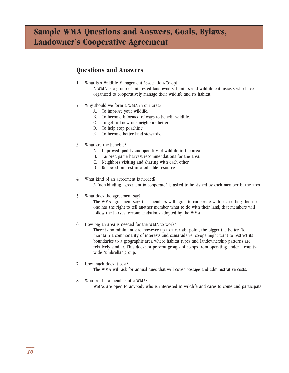## **Sample WMA Questions and Answers, Goals, Bylaws, Landowner's Cooperative Agreement**

#### **Questions and Answers**

- 1. What is a Wildlife Management Association/Co-op? A WMA is a group of interested landowners, hunters and wildlife enthusiasts who have organized to cooperatively manage their wildlife and its habitat.
- 2. Why should we form a WMA in our area?
	- A. To improve your wildlife.
	- B. To become informed of ways to benefit wildlife.
	- C. To get to know our neighbors better.
	- D. To help stop poaching.
	- E. To become better land stewards.
- 3. What are the benefits?
	- A. Improved quality and quantity of wildlife in the area.
	- B. Tailored game harvest recommendations for the area.
	- C. Neighbors visiting and sharing with each other.
	- D. Renewed interest in a valuable resource.
- 4. What kind of an agreement is needed?

A "non-binding agreement to cooperate" is asked to be signed by each member in the area.

5. What does the agreement say?

The WMA agreement says that members will agree to cooperate with each other; that no one has the right to tell another member what to do with their land; that members will follow the harvest recommendations adopted by the WMA.

6. How big an area is needed for the WMA to work?

There is no minimum size, however up to a certain point, the bigger the better. To maintain a commonality of interests and camaraderie, co-ops might want to restrict its boundaries to a geographic area where habitat types and landownership patterns are relatively similar. This does not prevent groups of co-ops from operating under a countywide "umbrella" group.

- 7. How much does it cost? The WMA will ask for annual dues that will cover postage and administrative costs.
- 8. Who can be a member of a WMA? WMAs are open to anybody who is interested in wildlife and cares to come and participate.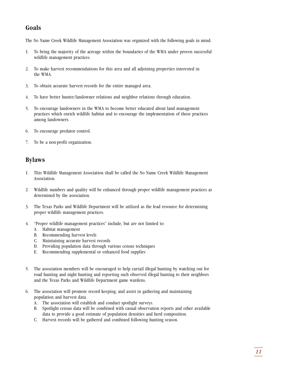#### **Goals**

The No Name Creek Wildlife Management Association was organized with the following goals in mind:

- 1. To bring the majority of the acreage within the boundaries of the WMA under proven successful wildlife management practices.
- 2. To make harvest recommendations for this area and all adjoining properties interested in the WMA.
- 3. To obtain accurate harvest records for the entire managed area.
- 4. To have better hunter/landowner relations and neighbor relations through education.
- 5. To encourage landowners in the WMA to become better educated about land management practices which enrich wildlife habitat and to encourage the implementation of those practices among landowners.
- 6. To encourage predator control.
- 7. To be a non-profit organization.

#### **Bylaws**

- 1. This Wildlife Management Association shall be called the No Name Creek Wildlife Management Association.
- 2. Wildlife numbers and quality will be enhanced through proper wildlife management practices as determined by the association.
- 3. The Texas Parks and Wildlife Department will be utilized as the lead resource for determining proper wildlife management practices.
- 4. "Proper wildlife management practices" include, but are not limited to:
	- A. Habitat management
	- B. Recommending harvest levels
	- C. Maintaining accurate harvest records
	- D. Providing population data through various census techniques
	- E. Recommending supplemental or enhanced food supplies
- 5. The association members will be encouraged to help curtail illegal hunting by watching out for road hunting and night hunting and reporting such observed illegal hunting to their neighbors and the Texas Parks and Wildlife Department game wardens.
- 6. The association will promote record keeping, and assist in gathering and maintaining population and harvest data.
	- A. The association will establish and conduct spotlight surveys.
	- B. Spotlight census data will be combined with casual observation reports and other available data to provide a good estimate of population densities and herd composition.
	- C. Harvest records will be gathered and combined following hunting season.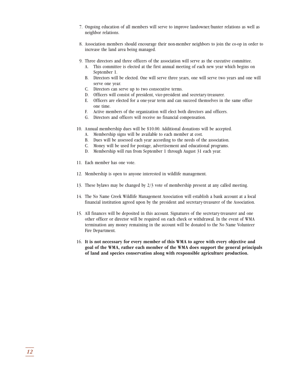- 7. Ongoing education of all members will serve to improve landowner/hunter relations as well as neighbor relations.
- 8. Association members should encourage their non-member neighbors to join the co-op in order to increase the land area being managed.
- 9. Three directors and three officers of the association will serve as the executive committee.
	- A. This committee is elected at the first annual meeting of each new year which begins on September 1.
	- B. Directors will be elected. One will serve three years, one will serve two years and one will serve one year.
	- C. Directors can serve up to two consecutive terms.
	- D. Officers will consist of president, vice-president and secretary-treasurer.
	- E. Officers are elected for a one-year term and can succeed themselves in the same office one time.
	- F. Active members of the organization will elect both directors and officers.
	- G. Directors and officers will receive no financial compensation.
- 10. Annual membership dues will be \$10.00. Additional donations will be accepted.
	- A. Membership signs will be available to each member at cost.
	- B. Dues will be assessed each year according to the needs of the association.
	- C. Money will be used for postage, advertisement and educational programs.
	- D. Membership will run from September 1 through August 31 each year.
- 11. Each member has one vote.
- 12. Membership is open to anyone interested in wildlife management.
- 13. These bylaws may be changed by 2/3 vote of membership present at any called meeting.
- 14. The No Name Creek Wildlife Management Association will establish a bank account at a local financial institution agreed upon by the president and secretary-treasurer of the Association.
- 15. All finances will be deposited in this account. Signatures of the secretary-treasurer and one other officer or director will be required on each check or withdrawal. In the event of WMA termination any money remaining in the account will be donated to the No Name Volunteer Fire Department.
- 16. **It is not necessary for every member of this WMA to agree with every objective and goal of the WMA, rather each member of the WMA does support the general principals of land and species conservation along with responsible agriculture production.**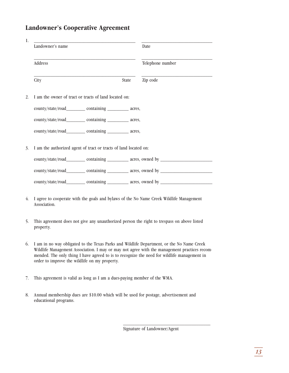#### **Landowner's Cooperative Agreement**

|    | Landowner's name                                                                                        |              | Date             |  |  |
|----|---------------------------------------------------------------------------------------------------------|--------------|------------------|--|--|
|    | Address                                                                                                 |              | Telephone number |  |  |
|    | City                                                                                                    | <b>State</b> | Zip code         |  |  |
|    | I am the owner of tract or tracts of land located on:                                                   |              |                  |  |  |
|    | county/state/road___________ containing ___________ acres,                                              |              |                  |  |  |
|    | county/state/road____________ containing ____________ acres,                                            |              |                  |  |  |
|    | county/state/road___________ containing __________ acres,                                               |              |                  |  |  |
|    | I am the authorized agent of tract or tracts of land located on:                                        |              |                  |  |  |
|    | county/state/road___________ containing __________ acres, owned by _________________________________    |              |                  |  |  |
|    | county/state/road___________ containing ___________ acres, owned by ________________________________    |              |                  |  |  |
|    | county/state/road___________ containing __________ acres, owned by _________________________________    |              |                  |  |  |
| 4. | I agree to cooperate with the goals and bylaws of the No Name Creek Wildlife Management<br>Association. |              |                  |  |  |

- 5. This agreement does not give any unauthorized person the right to trespass on above listed property.
- 6. I am in no way obligated to the Texas Parks and Wildlife Department, or the No Name Creek Wildlife Management Association. I may or may not agree with the management practices recommended. The only thing I have agreed to is to recognize the need for wildlife management in order to improve the wildlife on my property.
- 7. This agreement is valid as long as I am a dues-paying member of the WMA.
- 8. Annual membership dues are \$10.00 which will be used for postage, advertisement and educational programs.

Signature of Landowner/Agent

\_\_\_\_\_\_\_\_\_\_\_\_\_\_\_\_\_\_\_\_\_\_\_\_\_\_\_\_\_\_\_\_\_\_\_\_\_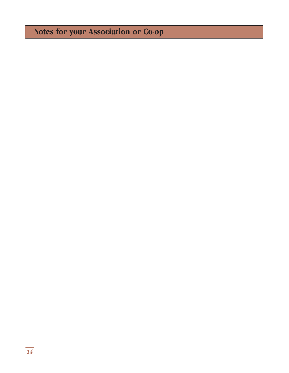## **Notes for your Association or Co-op**